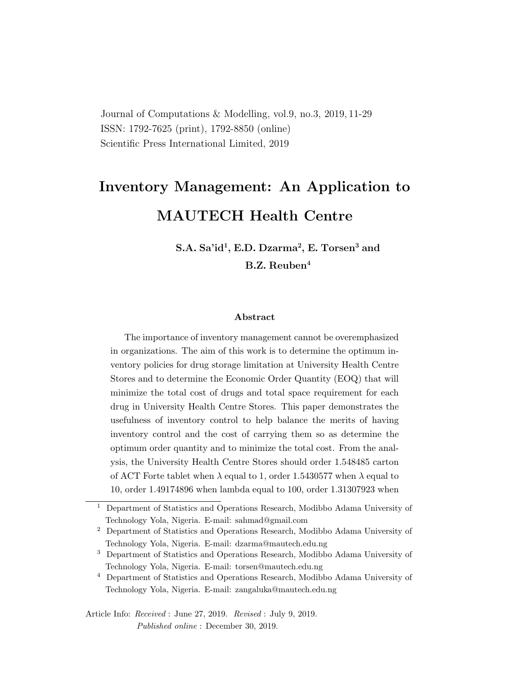Journal of Computations & Modelling, vol.9, no.3, 2019, 11-29 ISSN: 1792-7625 (print), 1792-8850 (online) Scientific Press International Limited, 2019

# Inventory Management: An Application to

# MAUTECH Health Centre

S**.**A**.** Sa'id<sup>1</sup> , E**.**D**.** Dzarma<sup>2</sup> , E**.** Torsen<sup>3</sup> and B**.**Z**.** Reuben<sup>4</sup>

#### Abstract

The importance of inventory management cannot be overemphasized in organizations. The aim of this work is to determine the optimum inventory policies for drug storage limitation at University Health Centre Stores and to determine the Economic Order Quantity (EOQ) that will minimize the total cost of drugs and total space requirement for each drug in University Health Centre Stores. This paper demonstrates the usefulness of inventory control to help balance the merits of having inventory control and the cost of carrying them so as determine the optimum order quantity and to minimize the total cost. From the analysis, the University Health Centre Stores should order 1.548485 carton of ACT Forte tablet when  $\lambda$  equal to 1, order 1.5430577 when  $\lambda$  equal to 10, order 1.49174896 when lambda equal to 100, order 1.31307923 when

<sup>1</sup> Department of Statistics and Operations Research, Modibbo Adama University of Technology Yola, Nigeria. E-mail: sahmad@gmail.com

<sup>2</sup> Department of Statistics and Operations Research, Modibbo Adama University of Technology Yola, Nigeria. E-mail: dzarma@mautech.edu.ng

<sup>3</sup> Department of Statistics and Operations Research, Modibbo Adama University of Technology Yola, Nigeria. E-mail: torsen@mautech.edu.ng

<sup>4</sup> Department of Statistics and Operations Research, Modibbo Adama University of Technology Yola, Nigeria. E-mail: zangaluka@mautech.edu.ng

Article Info: Received : June 27, 2019. Revised : July 9, 2019. Published online : December 30, 2019.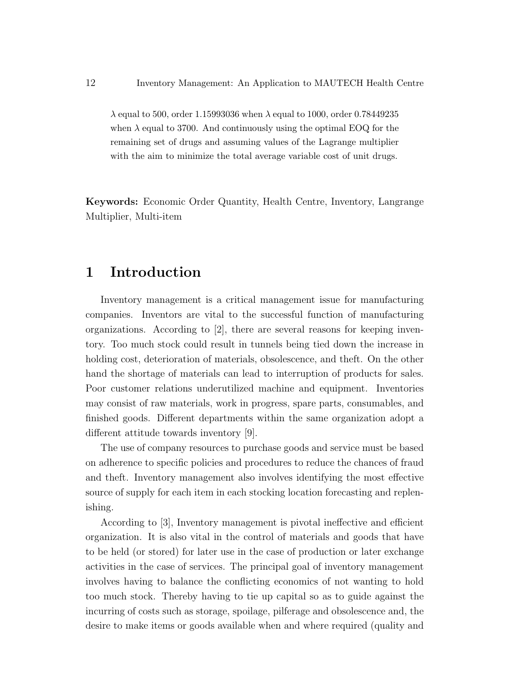$\lambda$  equal to 500, order 1.15993036 when  $\lambda$  equal to 1000, order 0.78449235 when  $\lambda$  equal to 3700. And continuously using the optimal EOQ for the remaining set of drugs and assuming values of the Lagrange multiplier with the aim to minimize the total average variable cost of unit drugs.

Keywords: Economic Order Quantity, Health Centre, Inventory, Langrange Multiplier, Multi-item

#### 1 Introduction

Inventory management is a critical management issue for manufacturing companies. Inventors are vital to the successful function of manufacturing organizations. According to  $[2]$ , there are several reasons for keeping inventory. Too much stock could result in tunnels being tied down the increase in holding cost, deterioration of materials, obsolescence, and theft. On the other hand the shortage of materials can lead to interruption of products for sales. Poor customer relations underutilized machine and equipment. Inventories may consist of raw materials, work in progress, spare parts, consumables, and finished goods. Different departments within the same organization adopt a different attitude towards inventory [9].

The use of company resources to purchase goods and service must be based on adherence to specific policies and procedures to reduce the chances of fraud and theft. Inventory management also involves identifying the most effective source of supply for each item in each stocking location forecasting and replenishing.

According to [3], Inventory management is pivotal ineffective and efficient organization. It is also vital in the control of materials and goods that have to be held (or stored) for later use in the case of production or later exchange activities in the case of services. The principal goal of inventory management involves having to balance the conflicting economics of not wanting to hold too much stock. Thereby having to tie up capital so as to guide against the incurring of costs such as storage, spoilage, pilferage and obsolescence and, the desire to make items or goods available when and where required (quality and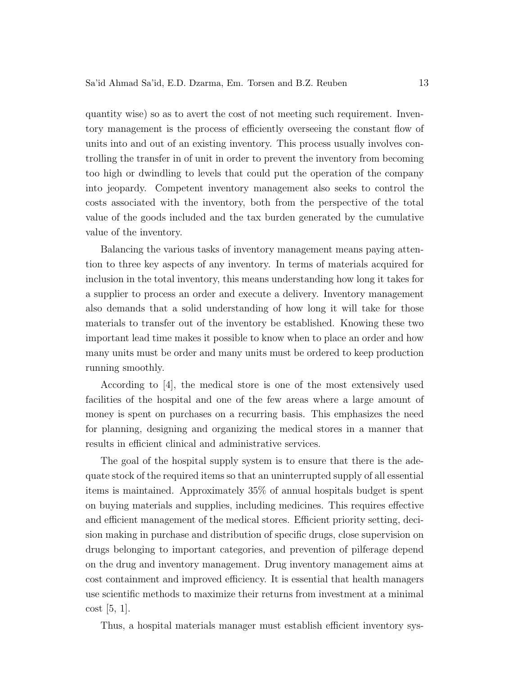quantity wise) so as to avert the cost of not meeting such requirement. Inventory management is the process of efficiently overseeing the constant flow of units into and out of an existing inventory. This process usually involves controlling the transfer in of unit in order to prevent the inventory from becoming too high or dwindling to levels that could put the operation of the company into jeopardy. Competent inventory management also seeks to control the costs associated with the inventory, both from the perspective of the total value of the goods included and the tax burden generated by the cumulative value of the inventory.

Balancing the various tasks of inventory management means paying attention to three key aspects of any inventory. In terms of materials acquired for inclusion in the total inventory, this means understanding how long it takes for a supplier to process an order and execute a delivery. Inventory management also demands that a solid understanding of how long it will take for those materials to transfer out of the inventory be established. Knowing these two important lead time makes it possible to know when to place an order and how many units must be order and many units must be ordered to keep production running smoothly.

According to [4], the medical store is one of the most extensively used facilities of the hospital and one of the few areas where a large amount of money is spent on purchases on a recurring basis. This emphasizes the need for planning, designing and organizing the medical stores in a manner that results in efficient clinical and administrative services.

The goal of the hospital supply system is to ensure that there is the adequate stock of the required items so that an uninterrupted supply of all essential items is maintained. Approximately 35% of annual hospitals budget is spent on buying materials and supplies, including medicines. This requires effective and efficient management of the medical stores. Efficient priority setting, decision making in purchase and distribution of specific drugs, close supervision on drugs belonging to important categories, and prevention of pilferage depend on the drug and inventory management. Drug inventory management aims at cost containment and improved efficiency. It is essential that health managers use scientific methods to maximize their returns from investment at a minimal cost [5, 1].

Thus, a hospital materials manager must establish efficient inventory sys-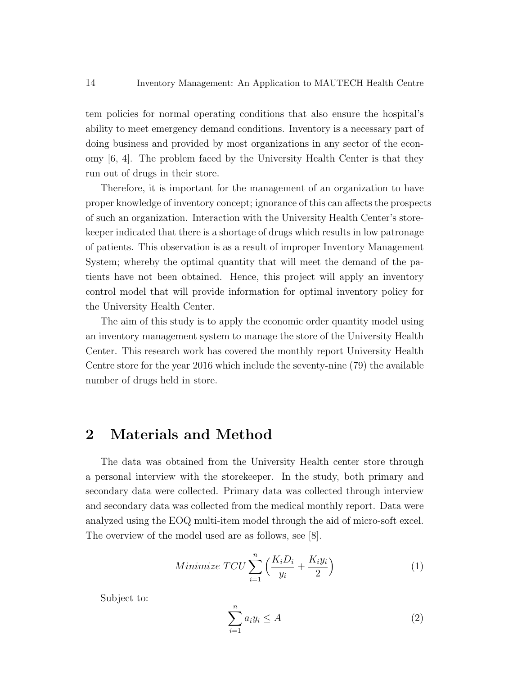tem policies for normal operating conditions that also ensure the hospital's ability to meet emergency demand conditions. Inventory is a necessary part of doing business and provided by most organizations in any sector of the economy [6, 4]. The problem faced by the University Health Center is that they run out of drugs in their store.

Therefore, it is important for the management of an organization to have proper knowledge of inventory concept; ignorance of this can affects the prospects of such an organization. Interaction with the University Health Center's storekeeper indicated that there is a shortage of drugs which results in low patronage of patients. This observation is as a result of improper Inventory Management System; whereby the optimal quantity that will meet the demand of the patients have not been obtained. Hence, this project will apply an inventory control model that will provide information for optimal inventory policy for the University Health Center.

The aim of this study is to apply the economic order quantity model using an inventory management system to manage the store of the University Health Center. This research work has covered the monthly report University Health Centre store for the year 2016 which include the seventy-nine (79) the available number of drugs held in store.

#### 2 Materials and Method

The data was obtained from the University Health center store through a personal interview with the storekeeper. In the study, both primary and secondary data were collected. Primary data was collected through interview and secondary data was collected from the medical monthly report. Data were analyzed using the EOQ multi-item model through the aid of micro-soft excel. The overview of the model used are as follows, see [8].

Minimize 
$$
TCU \sum_{i=1}^{n} \left( \frac{K_i D_i}{y_i} + \frac{K_i y_i}{2} \right)
$$
 (1)

Subject to:

$$
\sum_{i=1}^{n} a_i y_i \le A \tag{2}
$$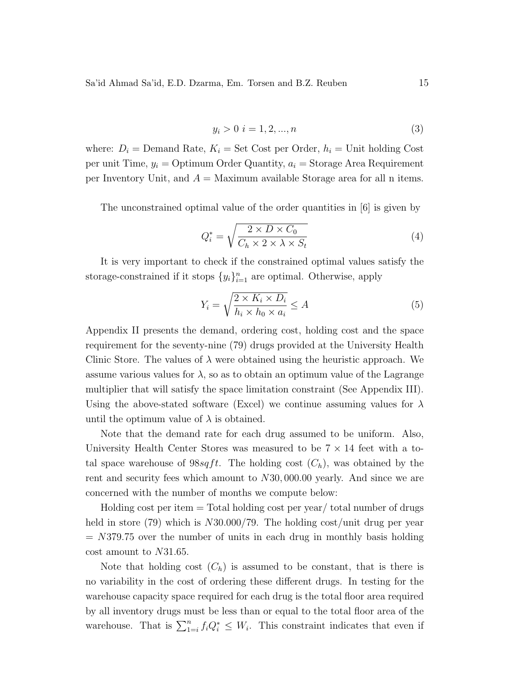Sa'id Ahmad Sa'id, E.D. Dzarma, Em. Torsen and B.Z. Reuben 15

$$
y_i > 0 \quad i = 1, 2, ..., n \tag{3}
$$

where:  $D_i$  = Demand Rate,  $K_i$  = Set Cost per Order,  $h_i$  = Unit holding Cost per unit Time,  $y_i = \text{Optimum Order Quantity}, a_i = \text{Storage Area Required}$ per Inventory Unit, and  $A =$  Maximum available Storage area for all n items.

The unconstrained optimal value of the order quantities in [6] is given by

$$
Q_i^* = \sqrt{\frac{2 \times D \times C_0}{C_h \times 2 \times \lambda \times S_t}}
$$
(4)

It is very important to check if the constrained optimal values satisfy the storage-constrained if it stops  $\{y_i\}_{i=1}^n$  are optimal. Otherwise, apply

$$
Y_i = \sqrt{\frac{2 \times K_i \times D_i}{h_i \times h_0 \times a_i}} \le A
$$
\n(5)

Appendix II presents the demand, ordering cost, holding cost and the space requirement for the seventy-nine (79) drugs provided at the University Health Clinic Store. The values of  $\lambda$  were obtained using the heuristic approach. We assume various values for  $\lambda$ , so as to obtain an optimum value of the Lagrange multiplier that will satisfy the space limitation constraint (See Appendix III). Using the above-stated software (Excel) we continue assuming values for  $\lambda$ until the optimum value of  $\lambda$  is obtained.

Note that the demand rate for each drug assumed to be uniform. Also, University Health Center Stores was measured to be  $7 \times 14$  feet with a total space warehouse of  $98\sqrt{st}$ . The holding cost  $(C_h)$ , was obtained by the rent and security fees which amount to N30, 000.00 yearly. And since we are concerned with the number of months we compute below:

Holding cost per item  $=$  Total holding cost per year/ total number of drugs held in store (79) which is  $N30.000/79$ . The holding cost/unit drug per year  $= N379.75$  over the number of units in each drug in monthly basis holding cost amount to N31.65.

Note that holding cost  $(C_h)$  is assumed to be constant, that is there is no variability in the cost of ordering these different drugs. In testing for the warehouse capacity space required for each drug is the total floor area required by all inventory drugs must be less than or equal to the total floor area of the warehouse. That is  $\sum_{1=i}^{n} f_i Q_i^* \leq W_i$ . This constraint indicates that even if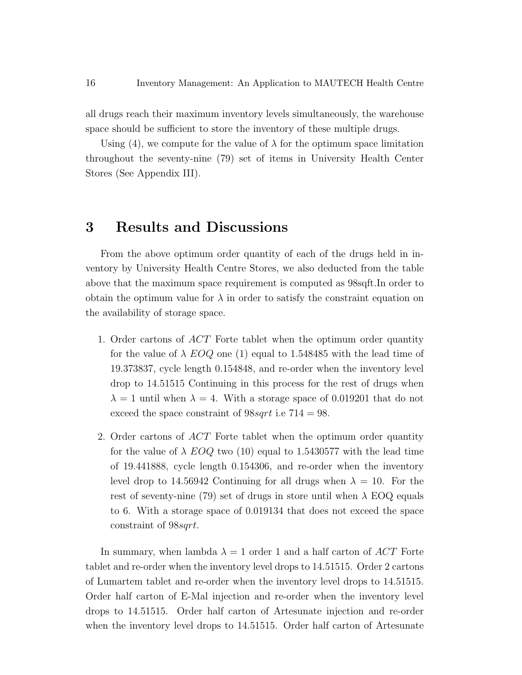all drugs reach their maximum inventory levels simultaneously, the warehouse space should be sufficient to store the inventory of these multiple drugs.

Using (4), we compute for the value of  $\lambda$  for the optimum space limitation throughout the seventy-nine (79) set of items in University Health Center Stores (See Appendix III).

#### 3 Results and Discussions

From the above optimum order quantity of each of the drugs held in inventory by University Health Centre Stores, we also deducted from the table above that the maximum space requirement is computed as 98sqft.In order to obtain the optimum value for  $\lambda$  in order to satisfy the constraint equation on the availability of storage space.

- 1. Order cartons of ACT Forte tablet when the optimum order quantity for the value of  $\lambda$  EOQ one (1) equal to 1.548485 with the lead time of 19.373837, cycle length 0.154848, and re-order when the inventory level drop to 14.51515 Continuing in this process for the rest of drugs when  $\lambda = 1$  until when  $\lambda = 4$ . With a storage space of 0.019201 that do not exceed the space constraint of  $98sqrt$  i.e  $714 = 98$ .
- 2. Order cartons of ACT Forte tablet when the optimum order quantity for the value of  $\lambda$  EOQ two (10) equal to 1.5430577 with the lead time of 19.441888, cycle length 0.154306, and re-order when the inventory level drop to 14.56942 Continuing for all drugs when  $\lambda = 10$ . For the rest of seventy-nine (79) set of drugs in store until when  $\lambda$  EOQ equals to 6. With a storage space of 0.019134 that does not exceed the space constraint of 98sqrt.

In summary, when lambda  $\lambda = 1$  order 1 and a half carton of ACT Forte tablet and re-order when the inventory level drops to 14.51515. Order 2 cartons of Lumartem tablet and re-order when the inventory level drops to 14.51515. Order half carton of E-Mal injection and re-order when the inventory level drops to 14.51515. Order half carton of Artesunate injection and re-order when the inventory level drops to 14.51515. Order half carton of Artesunate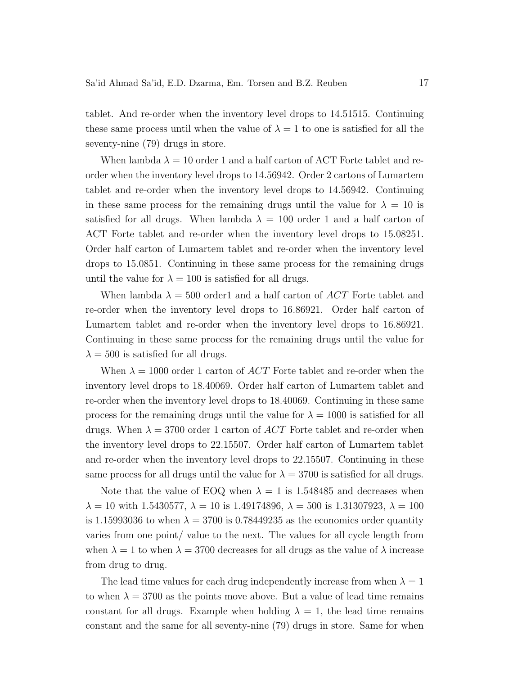tablet. And re-order when the inventory level drops to 14.51515. Continuing these same process until when the value of  $\lambda = 1$  to one is satisfied for all the seventy-nine (79) drugs in store.

When lambda  $\lambda = 10$  order 1 and a half carton of ACT Forte tablet and reorder when the inventory level drops to 14.56942. Order 2 cartons of Lumartem tablet and re-order when the inventory level drops to 14.56942. Continuing in these same process for the remaining drugs until the value for  $\lambda = 10$  is satisfied for all drugs. When lambda  $\lambda = 100$  order 1 and a half carton of ACT Forte tablet and re-order when the inventory level drops to 15.08251. Order half carton of Lumartem tablet and re-order when the inventory level drops to 15.0851. Continuing in these same process for the remaining drugs until the value for  $\lambda = 100$  is satisfied for all drugs.

When lambda  $\lambda = 500$  order1 and a half carton of ACT Forte tablet and re-order when the inventory level drops to 16.86921. Order half carton of Lumartem tablet and re-order when the inventory level drops to 16.86921. Continuing in these same process for the remaining drugs until the value for  $\lambda = 500$  is satisfied for all drugs.

When  $\lambda = 1000$  order 1 carton of ACT Forte tablet and re-order when the inventory level drops to 18.40069. Order half carton of Lumartem tablet and re-order when the inventory level drops to 18.40069. Continuing in these same process for the remaining drugs until the value for  $\lambda = 1000$  is satisfied for all drugs. When  $\lambda = 3700$  order 1 carton of ACT Forte tablet and re-order when the inventory level drops to 22.15507. Order half carton of Lumartem tablet and re-order when the inventory level drops to 22.15507. Continuing in these same process for all drugs until the value for  $\lambda = 3700$  is satisfied for all drugs.

Note that the value of EOQ when  $\lambda = 1$  is 1.548485 and decreases when  $\lambda = 10$  with 1.5430577,  $\lambda = 10$  is 1.49174896,  $\lambda = 500$  is 1.31307923,  $\lambda = 100$ is 1.15993036 to when  $\lambda = 3700$  is 0.78449235 as the economics order quantity varies from one point/ value to the next. The values for all cycle length from when  $\lambda = 1$  to when  $\lambda = 3700$  decreases for all drugs as the value of  $\lambda$  increase from drug to drug.

The lead time values for each drug independently increase from when  $\lambda = 1$ to when  $\lambda = 3700$  as the points move above. But a value of lead time remains constant for all drugs. Example when holding  $\lambda = 1$ , the lead time remains constant and the same for all seventy-nine (79) drugs in store. Same for when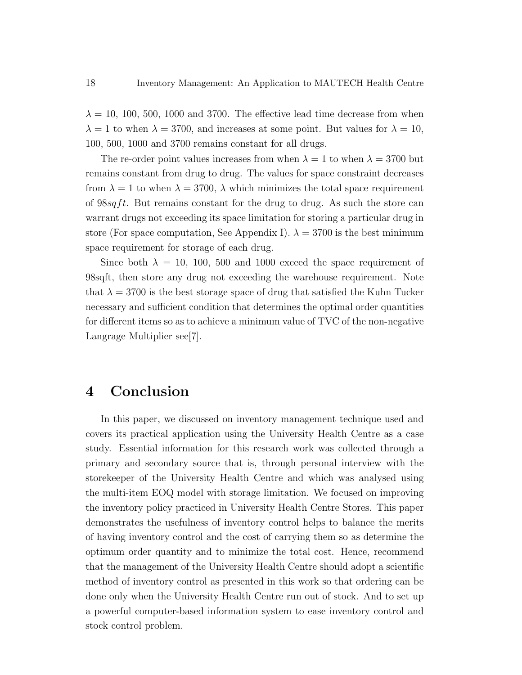$\lambda = 10, 100, 500, 1000$  and 3700. The effective lead time decrease from when  $\lambda = 1$  to when  $\lambda = 3700$ , and increases at some point. But values for  $\lambda = 10$ , 100, 500, 1000 and 3700 remains constant for all drugs.

The re-order point values increases from when  $\lambda = 1$  to when  $\lambda = 3700$  but remains constant from drug to drug. The values for space constraint decreases from  $\lambda = 1$  to when  $\lambda = 3700$ ,  $\lambda$  which minimizes the total space requirement of  $98\sqrt{st}$ . But remains constant for the drug to drug. As such the store can warrant drugs not exceeding its space limitation for storing a particular drug in store (For space computation, See Appendix I).  $\lambda = 3700$  is the best minimum space requirement for storage of each drug.

Since both  $\lambda = 10, 100, 500$  and 1000 exceed the space requirement of 98sqft, then store any drug not exceeding the warehouse requirement. Note that  $\lambda = 3700$  is the best storage space of drug that satisfied the Kuhn Tucker necessary and sufficient condition that determines the optimal order quantities for different items so as to achieve a minimum value of TVC of the non-negative Langrage Multiplier see[7].

# 4 Conclusion

In this paper, we discussed on inventory management technique used and covers its practical application using the University Health Centre as a case study. Essential information for this research work was collected through a primary and secondary source that is, through personal interview with the storekeeper of the University Health Centre and which was analysed using the multi-item EOQ model with storage limitation. We focused on improving the inventory policy practiced in University Health Centre Stores. This paper demonstrates the usefulness of inventory control helps to balance the merits of having inventory control and the cost of carrying them so as determine the optimum order quantity and to minimize the total cost. Hence, recommend that the management of the University Health Centre should adopt a scientific method of inventory control as presented in this work so that ordering can be done only when the University Health Centre run out of stock. And to set up a powerful computer-based information system to ease inventory control and stock control problem.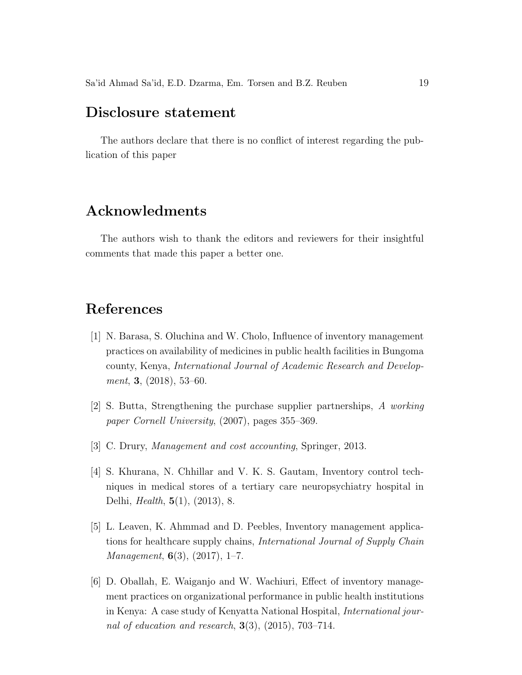### Disclosure statement

The authors declare that there is no conflict of interest regarding the publication of this paper

#### Acknowledments

The authors wish to thank the editors and reviewers for their insightful comments that made this paper a better one.

# References

- [1] N. Barasa, S. Oluchina and W. Cholo, Influence of inventory management practices on availability of medicines in public health facilities in Bungoma county, Kenya, International Journal of Academic Research and Development, 3, (2018), 53-60.
- [2] S. Butta, Strengthening the purchase supplier partnerships, A working paper Cornell University, (2007), pages 355–369.
- [3] C. Drury, *Management and cost accounting*, Springer, 2013.
- [4] S. Khurana, N. Chhillar and V. K. S. Gautam, Inventory control techniques in medical stores of a tertiary care neuropsychiatry hospital in Delhi, Health, 5(1), (2013), 8.
- [5] L. Leaven, K. Ahmmad and D. Peebles, Inventory management applications for healthcare supply chains, International Journal of Supply Chain *Management*,  $6(3)$ ,  $(2017)$ , 1–7.
- [6] D. Oballah, E. Waiganjo and W. Wachiuri, Effect of inventory management practices on organizational performance in public health institutions in Kenya: A case study of Kenyatta National Hospital, International journal of education and research,  $3(3)$ ,  $(2015)$ ,  $703-714$ .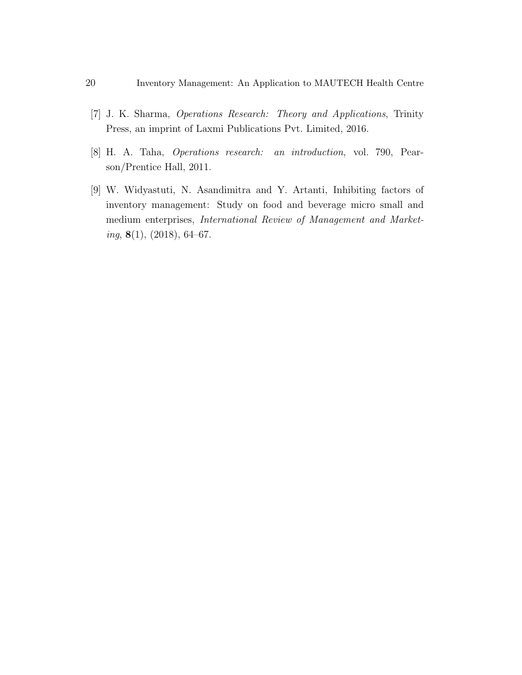- [7] J. K. Sharma, Operations Research: Theory and Applications, Trinity Press, an imprint of Laxmi Publications Pvt. Limited, 2016.
- [8] H. A. Taha, Operations research: an introduction, vol. 790, Pearson/Prentice Hall, 2011.
- [9] W. Widyastuti, N. Asandimitra and Y. Artanti, Inhibiting factors of inventory management: Study on food and beverage micro small and medium enterprises, International Review of Management and Market $ing, 8(1), (2018), 64–67.$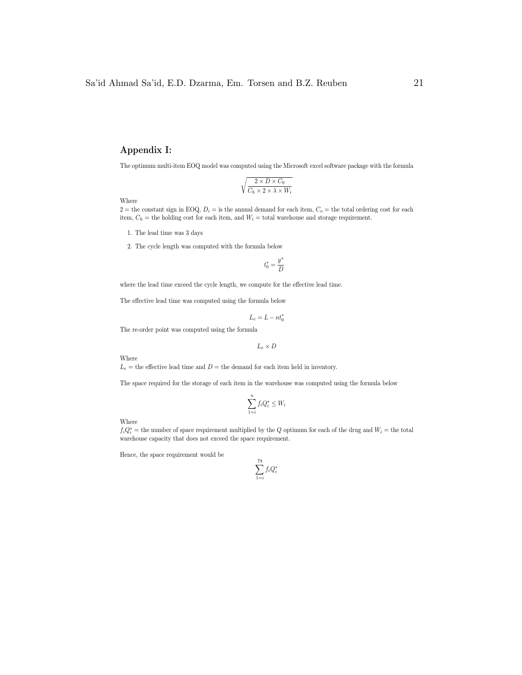#### Appendix I:

The optimum multi-item EOQ model was computed using the Microsoft excel software package with the formula

$$
\sqrt{\frac{2 \times D \times C_0}{C_h \times 2 \times \lambda \times W_i}}
$$

Where

 $2 =$  the constant sign in EOQ,  $D_i =$  is the annual demand for each item,  $C_o =$  the total ordering cost for each item,  $C_h$  = the holding cost for each item, and  $W_i$  = total warehouse and storage requirement.

- 1. The lead time was 3 days
- 2. The cycle length was computed with the formula below

$$
t_0^* = \frac{y^*}{D}
$$

where the lead time exceed the cycle length, we compute for the effective lead time.

The effective lead time was computed using the formula below

$$
L_e = L - n t_0^*
$$

The re-order point was computed using the formula

$$
L_e \times D
$$

Where

 $L_e$  = the effective lead time and  $D =$  the demand for each item held in inventory.

The space required for the storage of each item in the warehouse was computed using the formula below

$$
\sum_{1=i}^{n} f_i Q_i^* \le W_i
$$

Where

 $f_iQ_i^*$  = the number of space requirement multiplied by the Q optimum for each of the drug and  $W_i$  = the total warehouse capacity that does not exceed the space requirement.

Hence, the space requirement would be

$$
\sum_{1=i}^{79} f_i Q_i^*
$$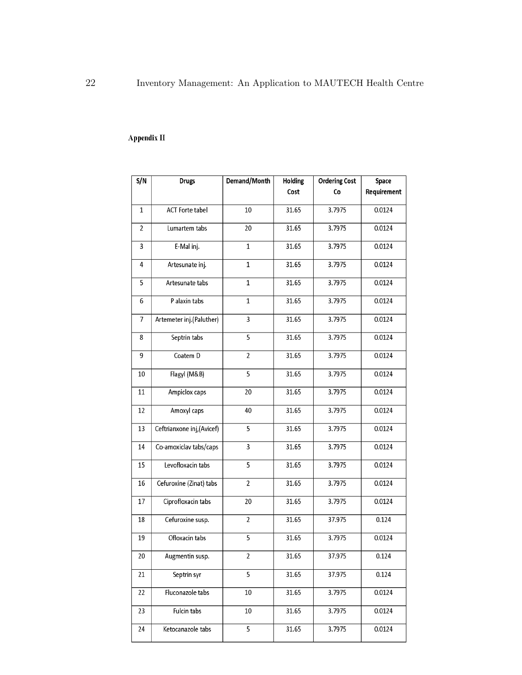#### Appendix II

| S/N            | <b>Drugs</b>              | Demand/Month   | <b>Holding</b><br>Cost | <b>Ordering Cost</b><br>Co | Space<br>Requirement |
|----------------|---------------------------|----------------|------------------------|----------------------------|----------------------|
|                |                           |                |                        |                            |                      |
| $\mathbf{1}$   | <b>ACT Forte tabel</b>    | 10             | 31.65                  | 3.7975                     | 0.0124               |
| 2              | Lumartem tabs             | 20             | 31.65                  | 3.7975                     | 0.0124               |
| 3              | E-Mal inj.                | $\mathbf{1}$   | 31.65                  | 3.7975                     | 0.0124               |
| 4              | Artesunate inj.           | $\mathbf{1}$   | 31.65                  | 3.7975                     | 0.0124               |
| 5              | Artesunate tabs           | $\mathbf{1}$   | 31.65                  | 3.7975                     | 0.0124               |
| 6              | P alaxin tabs             | $\mathbf{1}$   | 31.65                  | 3.7975                     | 0.0124               |
| $\overline{7}$ | Artemeter inj.(Paluther)  | 3              | 31.65                  | 3.7975                     | 0.0124               |
| 8              | Septrin tabs              | $\overline{5}$ | 31.65                  | 3.7975                     | 0.0124               |
| 9              | Coatem D                  | $\overline{2}$ | 31.65                  | 3.7975                     | 0.0124               |
| 10             | Flagyl (M&B)              | $\overline{5}$ | 31.65                  | 3.7975                     | 0.0124               |
| 11             | Ampiclox caps             | 20             | 31.65                  | 3.7975                     | 0.0124               |
| 12             | Amoxyl caps               | 40             | 31.65                  | 3.7975                     | 0.0124               |
| 13             | Ceftrianxone inj,(Avicef) | 5              | 31.65                  | 3.7975                     | 0.0124               |
| 14             | Co-amoxiclav tabs/caps    | 3              | 31.65                  | 3.7975                     | 0.0124               |
| 15             | Levofloxacin tabs         | 5              | 31.65                  | 3.7975                     | 0.0124               |
| 16             | Cefuroxine (Zinat) tabs   | $\overline{2}$ | 31.65                  | 3.7975                     | 0.0124               |
| 17             | Ciprofloxacin tabs        | 20             | 31.65                  | 3.7975                     | 0.0124               |
| 18             | Cefuroxine susp.          | $\overline{2}$ | 31.65                  | 37.975                     | 0.124                |
| 19             | Ofloxacin tabs            | 5              | 31.65                  | 3.7975                     | 0.0124               |
| 20             | Augmentin susp.           | 2              | 31.65                  | 37.975                     | 0.124                |
| 21             | Septrin syr               | 5              | 31.65                  | 37.975                     | 0.124                |
| 22             | Fluconazole tabs          | 10             | 31.65                  | 3.7975                     | 0.0124               |
| 23             | Fulcin tabs               | 10             | 31.65                  | 3.7975                     | 0.0124               |
| 24             | Ketocanazole tabs         | $\overline{5}$ | 31.65                  | 3.7975                     | 0.0124               |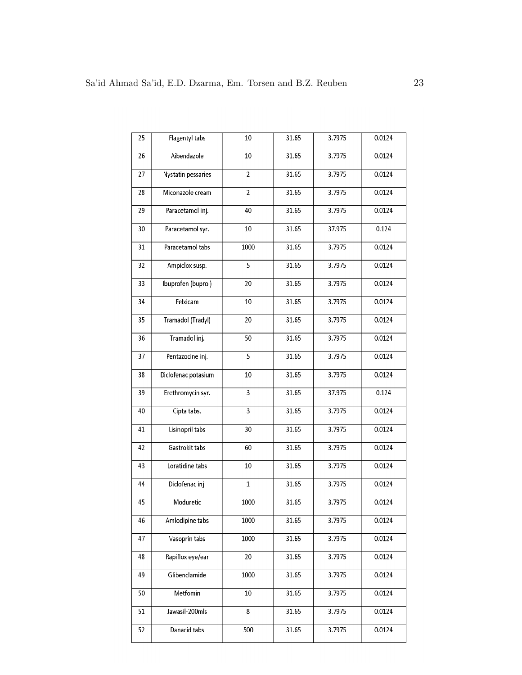| 25 | Flagentyl tabs      | 10             | 31.65 | 3.7975 | 0.0124 |
|----|---------------------|----------------|-------|--------|--------|
| 26 | Aibendazole         | 10             | 31.65 | 3.7975 | 0.0124 |
| 27 | Nystatin pessaries  | $\overline{2}$ | 31.65 | 3.7975 | 0.0124 |
| 28 | Miconazole cream    | $\overline{2}$ | 31.65 | 3.7975 | 0.0124 |
| 29 | Paracetamol inj.    | 40             | 31.65 | 3.7975 | 0.0124 |
| 30 | Paracetamol syr.    | $10\,$         | 31.65 | 37.975 | 0.124  |
| 31 | Paracetamol tabs    | 1000           | 31.65 | 3.7975 | 0.0124 |
| 32 | Ampiclox susp.      | $\overline{5}$ | 31.65 | 3.7975 | 0.0124 |
| 33 | Ibuprofen (buprol)  | $20\,$         | 31.65 | 3.7975 | 0.0124 |
| 34 | Felxicam            | 10             | 31.65 | 3.7975 | 0.0124 |
| 35 | Tramadol (Tradyl)   | 20             | 31.65 | 3.7975 | 0.0124 |
| 36 | Tramadol inj.       | 50             | 31.65 | 3.7975 | 0.0124 |
| 37 | Pentazocine inj.    | 5              | 31.65 | 3.7975 | 0.0124 |
| 38 | Diclofenac potasium | $10\,$         | 31.65 | 3.7975 | 0.0124 |
| 39 | Erethromycin syr.   | $\overline{3}$ | 31.65 | 37.975 | 0.124  |
| 40 | Cipta tabs.         | 3              | 31.65 | 3.7975 | 0.0124 |
| 41 | Lisinopril tabs     | 30             | 31.65 | 3.7975 | 0.0124 |
| 42 | Gastrokit tabs      | 60             | 31.65 | 3.7975 | 0.0124 |
| 43 | Loratidine tabs     | 10             | 31.65 | 3.7975 | 0.0124 |
| 44 | Diclofenac inj.     | $\mathbf{1}$   | 31.65 | 3.7975 | 0.0124 |
| 45 | Moduretic           | 1000           | 31.65 | 3.7975 | 0.0124 |
| 46 | Amlodipine tabs     | 1000           | 31.65 | 3.7975 | 0.0124 |
| 47 | Vasoprin tabs       | 1000           | 31.65 | 3.7975 | 0.0124 |
| 48 | Rapiflox eye/ear    | $20\,$         | 31.65 | 3.7975 | 0.0124 |
| 49 | Glibenclamide       | 1000           | 31.65 | 3.7975 | 0.0124 |
| 50 | Metfomin            | 10             | 31.65 | 3.7975 | 0.0124 |
| 51 | Jawasil-200mls      | 8              | 31.65 | 3.7975 | 0.0124 |
| 52 | Danacid tabs        | 500            | 31.65 | 3.7975 | 0.0124 |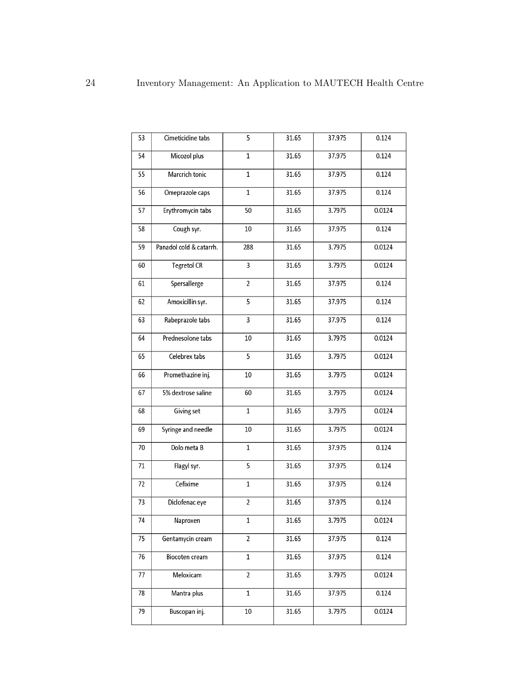| 53 | Cimeticidine tabs       | 5              | 31.65 | 37.975 | 0.124  |
|----|-------------------------|----------------|-------|--------|--------|
| 54 | Micozol plus            | $\mathbf{1}$   | 31.65 | 37.975 | 0.124  |
| 55 | Marcrich tonic          | $\mathbf{1}$   | 31.65 | 37.975 | 0.124  |
| 56 | Omeprazole caps         | $\mathbf{1}$   | 31.65 | 37.975 | 0.124  |
| 57 | Erythromycin tabs       | 50             | 31.65 | 3.7975 | 0.0124 |
| 58 | Cough syr.              | 10             | 31.65 | 37.975 | 0.124  |
| 59 | Panadol cold & catarrh. | 288            | 31.65 | 3.7975 | 0.0124 |
| 60 | <b>Tegretol CR</b>      | 3              | 31.65 | 3.7975 | 0.0124 |
| 61 | Spersallerge            | $\overline{2}$ | 31.65 | 37.975 | 0.124  |
| 62 | Amoxicillin syr.        | 5              | 31.65 | 37.975 | 0.124  |
| 63 | Rabeprazole tabs        | 3              | 31.65 | 37.975 | 0.124  |
| 64 | Prednesolone tabs       | 10             | 31.65 | 3.7975 | 0.0124 |
| 65 | Celebrex tabs           | $\overline{5}$ | 31.65 | 3.7975 | 0.0124 |
| 66 | Promethazine inj.       | 10             | 31.65 | 3.7975 | 0.0124 |
| 67 | 5% dextrose saline      | 60             | 31.65 | 3.7975 | 0.0124 |
| 68 | Giving set              | $\mathbf{1}$   | 31.65 | 3.7975 | 0.0124 |
| 69 | Syringe and needle      | 10             | 31.65 | 3.7975 | 0.0124 |
| 70 | Dolo meta B             | $\mathbf{1}$   | 31.65 | 37.975 | 0.124  |
| 71 | Flagyl syr.             | 5              | 31.65 | 37.975 | 0.124  |
| 72 | Cefixime                | $\mathbf{1}$   | 31.65 | 37.975 | 0.124  |
| 73 | Diclofenac eye          | $\overline{c}$ | 31.65 | 37.975 | 0.124  |
| 74 | Naproxen                | 1              | 31.65 | 3.7975 | 0.0124 |
| 75 | Gentamycin cream        | $\overline{2}$ | 31.65 | 37.975 | 0.124  |
| 76 | Biocoten cream          | $\mathbf{1}$   | 31.65 | 37.975 | 0.124  |
| 77 | Meloxicam               | $\overline{2}$ | 31.65 | 3.7975 | 0.0124 |
| 78 | Mantra plus             | $\mathbf{1}$   | 31.65 | 37.975 | 0.124  |
| 79 | Buscopan inj.           | $10\,$         | 31.65 | 3.7975 | 0.0124 |
|    |                         |                |       |        |        |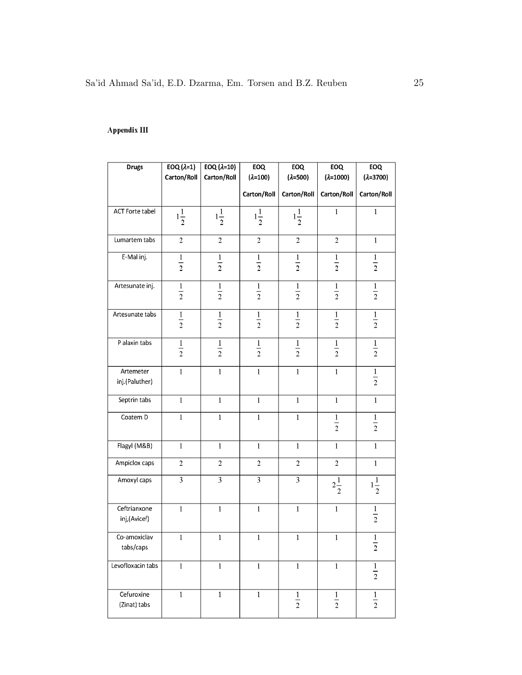#### Appendix III

| <b>Drugs</b>      | $EOQ(\lambda=1)$ | EOQ $(\lambda=10)$ | EOQ               | EOQ               | EOQ                | EOQ                |
|-------------------|------------------|--------------------|-------------------|-------------------|--------------------|--------------------|
|                   | Carton/Roll      | Carton/Roll        | $(\lambda = 100)$ | $(\lambda = 500)$ | $(\lambda = 1000)$ | $(\lambda = 3700)$ |
|                   |                  |                    | Carton/Roll       | Carton/Roll       | Carton/Roll        | Carton/Roll        |
| ACT Forte tabel   | $1\frac{1}{2}$   | $1\frac{1}{2}$     | $1\frac{1}{2}$    | $1\frac{1}{2}$    | $\mathbf{1}$       | $\mathbf{1}$       |
|                   |                  |                    |                   |                   |                    |                    |
| Lumartem tabs     | $\overline{c}$   | $\boldsymbol{2}$   | $\overline{c}$    | $\overline{c}$    | $\boldsymbol{2}$   | $\mathbf{1}$       |
| E-Mal inj.        | $\frac{1}{2}$    | $\frac{1}{2}$      | $\frac{1}{2}$     | $\frac{1}{2}$     | $\frac{1}{2}$      | $\frac{1}{2}$      |
|                   |                  |                    |                   |                   |                    |                    |
| Artesunate inj.   | $\frac{1}{2}$    | $\frac{1}{2}$      | $\frac{1}{2}$     | $\frac{1}{2}$     | $\frac{1}{2}$      | $\frac{1}{2}$      |
|                   |                  |                    |                   |                   |                    |                    |
| Artesunate tabs   | $\frac{1}{2}$    | $\frac{1}{2}$      | $\frac{1}{2}$     | $\frac{1}{2}$     | $\frac{1}{2}$      | $\frac{1}{2}$      |
|                   |                  |                    |                   |                   |                    |                    |
| P alaxin tabs     | $\overline{1}$   | $\mathbf{1}$       | $\mathbf{1}$      | $\overline{1}$    | $\mathbf{1}$       | $\overline{1}$     |
|                   | $\overline{2}$   | $\overline{2}$     | $\overline{2}$    | $\overline{2}$    | $\overline{2}$     | $\overline{2}$     |
| Artemeter         | $\mathbf 1$      | $\,1$              | $\mathbf{1}$      | $\mathbf 1$       | $\mathbf{1}$       | $\frac{1}{2}$      |
| inj.(Paluther)    |                  |                    |                   |                   |                    |                    |
| Septrin tabs      | $\mathbf{1}$     | $\mathbf{1}$       | $\mathbf{1}$      | $\mathbf{1}$      | $\mathbf{1}$       | $\mathbf{1}$       |
| Coatem D          | $\mathbf 1$      | $\mathbf 1$        | $\mathbf{1}$      | $\mathbf{1}$      | $\frac{1}{2}$      | $\frac{1}{2}$      |
|                   |                  |                    |                   |                   |                    |                    |
| Flagyl (M&B)      | $\mathbf{1}$     | $\mathbf{1}$       | $\mathbf{1}$      | $\mathbf{1}$      | $\mathbf{1}$       | $\mathbf{1}$       |
| Ampiclox caps     | $\sqrt{2}$       | $\sqrt{2}$         | $\sqrt{2}$        | $\sqrt{2}$        | $\sqrt{2}$         | $\mathbf{1}$       |
| Amoxyl caps       | $\overline{3}$   | $\overline{3}$     | $\overline{3}$    | $\overline{3}$    | $2\frac{1}{2}$     | $1\frac{1}{2}$     |
|                   |                  |                    |                   |                   |                    |                    |
| Ceftrianxone      | $\mathbf{1}$     | $\mathbf{1}$       | $\mathbf{1}$      | $\mathbf{1}$      | $\mathbf{1}$       | $\frac{1}{2}$      |
| inj,(Avicef)      |                  |                    |                   |                   |                    |                    |
| Co-amoxiclav      | $\mathbf{1}$     | $\mathbf{1}$       | $\mathbf{1}$      | $\mathbf{1}$      | $\mathbf{1}$       | $\mathbf{1}$       |
| tabs/caps         |                  |                    |                   |                   |                    | $\boldsymbol{2}$   |
| Levofloxacin tabs | $\mathbf{1}$     | $\mathbf{1}$       | $\mathbf{1}$      | $\mathbf{1}$      | $\mathbf{1}$       | $\frac{1}{2}$      |
|                   |                  |                    |                   |                   |                    |                    |
| Cefuroxine        | $\mathbf{1}$     | $\mathbf{1}$       | $\mathbf{1}$      | $\frac{1}{2}$     | $\frac{1}{2}$      | $\frac{1}{2}$      |
| (Zinat) tabs      |                  |                    |                   |                   |                    |                    |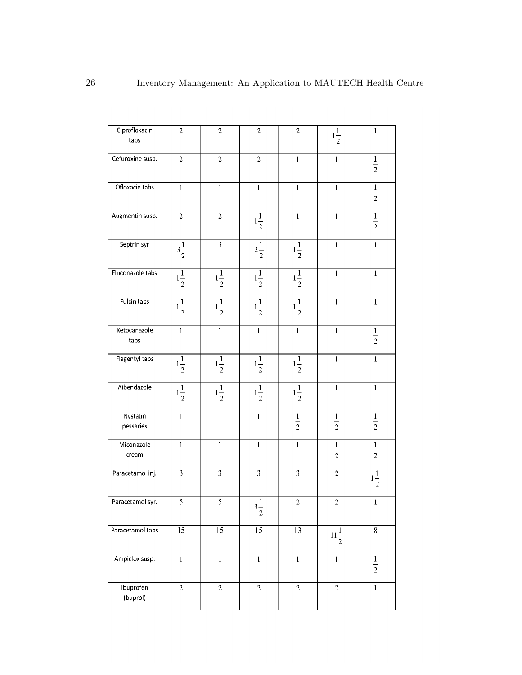| Ciprofloxacin<br>tabs | $\overline{2}$  | $\overline{c}$   | $\overline{c}$   | $\overline{c}$           | $1\frac{1}{2}$          | $\,1$                   |
|-----------------------|-----------------|------------------|------------------|--------------------------|-------------------------|-------------------------|
| Cefuroxine susp.      | $\sqrt{2}$      | $\boldsymbol{2}$ | $\boldsymbol{2}$ | $\mathbf 1$              | $\,1$                   | $\frac{1}{2}$           |
| Ofloxacin tabs        | $\mathbf{1}$    | $\mathbf{1}$     | $\mathbf 1$      | $\mathbf{1}$             | $\,1$                   | $\frac{1}{2}$           |
| Augmentin susp.       | $\sqrt{2}$      | $\overline{c}$   | $1\frac{1}{2}$   | $\mathbf 1$              | $\,1$                   | $\frac{1}{2}$           |
| Septrin syr           | $3\frac{1}{2}$  | $\overline{3}$   | $2\frac{1}{2}$   | $1\frac{1}{2}$           | $\,1$                   | $\overline{\mathbf{1}}$ |
| Fluconazole tabs      | $1\frac{1}{2}$  | $1\frac{1}{2}$   | $1\frac{1}{2}$   | $\frac{1}{1\frac{1}{2}}$ | $\mathbf 1$             | $\,1$                   |
| Fulcin tabs           | $1\frac{1}{2}$  | $1\frac{1}{2}$   | $1\frac{1}{2}$   | $1\frac{1}{2}$           | $\mathbf 1$             | $\,1$                   |
| Ketocanazole<br>tabs  | $\overline{1}$  | $\mathbf{1}$     | $\mathbf{1}$     | $\mathbf{1}$             | $\mathbf 1$             | $\frac{1}{2}$           |
| Flagentyl tabs        | $1\frac{1}{2}$  | $1\frac{1}{2}$   | $1\frac{1}{2}$   | $1\frac{1}{2}$           | $\mathbf{1}$            | $\overline{1}$          |
| Aibendazole           | $1\frac{1}{2}$  | $1\frac{1}{2}$   | $1\frac{1}{2}$   | $1\frac{1}{2}$           | $\,1$                   | $\overline{\mathbf{1}}$ |
| Nystatin<br>pessaries | $\mathbf{1}$    | $\mathbf 1$      | $\mathbf 1$      | $\frac{1}{2}$            | $\frac{1}{2}$           | $\frac{1}{2}$           |
| Miconazole<br>cream   | $\mathbf{1}$    | $\mathbf{1}$     | $\mathbf{1}$     | $\mathbf{1}$             | $\frac{1}{2}$           | $\frac{1}{2}$           |
| Paracetamol inj.      | $\overline{3}$  | $\overline{3}$   | $\overline{3}$   | $\overline{3}$           | $\,2\,$                 | $1\frac{1}{2}$          |
| Paracetamol syr.      | 5               | $\overline{5}$   | $3\frac{1}{2}$   | $\sqrt{2}$               | $\overline{c}$          | $\,1$                   |
| Paracetamol tabs      | $\overline{15}$ | $\overline{15}$  | $\overline{15}$  | $\overline{13}$          | $11\frac{1}{2}$         | $\overline{8}$          |
| Ampiclox susp.        | $\overline{1}$  | $\mathbf{1}$     | $\mathbf 1$      | $\overline{1}$           | $\mathbf 1$             | $\frac{1}{2}$           |
| Ibuprofen<br>(buprol) | $\overline{2}$  | $\overline{2}$   | $\overline{2}$   | $\overline{2}$           | $\overline{\mathbf{2}}$ | $\mathbf 1$             |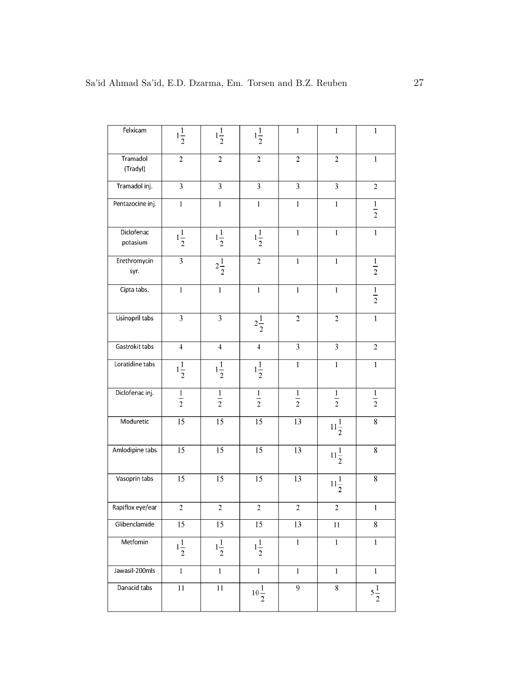| Felxicam               | $1\frac{1}{2}$   | $1\frac{1}{2}$          | $1\frac{1}{2}$  | $\mathbf{1}$    | $\mathbf{1}$       | $\,1$                   |
|------------------------|------------------|-------------------------|-----------------|-----------------|--------------------|-------------------------|
| Tramadol<br>(Tradyl)   | $\sqrt{2}$       | $\,2\,$                 | $\sqrt{2}$      | $\sqrt{2}$      | $\sqrt{2}$         | $\mathbf{1}$            |
| Tramadol inj.          | $\overline{3}$   | $\overline{\mathbf{3}}$ | 3               | $\overline{3}$  | $\overline{3}$     | $\overline{c}$          |
| Pentazocine inj.       | $\mathbf{1}$     | $\mathbf 1$             | $\,1$           | $\mathbf{1}$    | $\mathbf{1}$       | $\frac{1}{2}$           |
| Diclofenac<br>potasium | $1\frac{1}{2}$   | $1\frac{1}{2}$          | $1\frac{1}{2}$  | $\mathbf{1}$    | $\mathbf{1}$       | $\mathbf{1}$            |
| Erethromycin<br>syr.   | $\overline{3}$   | $2\frac{1}{2}$          | $\sqrt{2}$      | $\mathbf{1}$    | $\mathbf 1$        | $\frac{1}{2}$           |
| Cipta tabs.            | $\mathbf 1$      | $\mathbf 1$             | $\,1\,$         | $\mathbf{1}$    | $\mathbf{1}$       | $\frac{1}{2}$           |
| Lisinopril tabs        | 3                | $\overline{\mathbf{3}}$ | $2\frac{1}{2}$  | $\sqrt{2}$      | $\overline{2}$     | $\overline{1}$          |
| Gastrokit tabs         | $\overline{4}$   | $\overline{4}$          | $\overline{4}$  | $\overline{3}$  | $\overline{3}$     | $\overline{2}$          |
| Loratidine tabs        | $1\frac{1}{2}$   | $1\frac{1}{2}$          | $1\frac{1}{2}$  | $\mathbf 1$     | $\,1\,$            | $\,1$                   |
| Diclofenac inj.        | $\frac{1}{2}$    | $\frac{1}{2}$           | $\frac{1}{2}$   | $\frac{1}{2}$   | $\frac{1}{2}$      | $\frac{1}{2}$           |
| Moduretic              | $\overline{15}$  | $\overline{15}$         | 15              | 13              | $11\frac{1}{2}$    | $\overline{\mathbf{8}}$ |
| Amlodipine tabs        | $\overline{15}$  | $\overline{15}$         | $\overline{15}$ | $\overline{13}$ | $11\frac{1}{2}$    | $\overline{8}$          |
| Vasoprin tabs          | $\overline{15}$  | $\overline{15}$         | $\overline{15}$ | 13              | $11\frac{1}{2}$    | $\overline{\bf 8}$      |
| Rapiflox eye/ear       | $\boldsymbol{2}$ | $\overline{c}$          | $\sqrt{2}$      | $\sqrt{2}$      | $\sqrt{2}$         | $\,1$                   |
| Glibenclamide          | $\overline{15}$  | $\overline{15}$         | $\overline{15}$ | $\overline{13}$ | $\overline{11}$    | $\overline{\mathbf{8}}$ |
| Metfomin               | $1\frac{1}{2}$   | $1\frac{1}{2}$          | $1\frac{1}{2}$  | $\mathbf 1$     | $\,1$              | $\,1$                   |
| Jawasil-200mls         | $\overline{1}$   | $\mathbf{1}$            | $\mathbf{1}$    | $\mathbf{1}$    | $\mathbf 1$        | $\,1$                   |
| Danacid tabs           | $\overline{11}$  | $11\,$                  | $10\frac{1}{2}$ | $\overline{9}$  | $\overline{\bf 8}$ | $5\frac{1}{2}$          |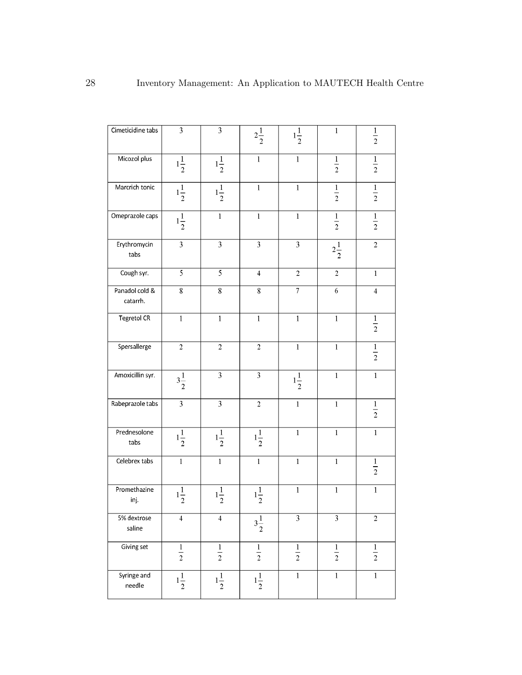| Cimeticidine tabs          | $\overline{3}$          | $\overline{3}$          | $2\frac{1}{2}$ | $1\frac{1}{2}$    | $\mathbf 1$    | $\frac{1}{2}$           |
|----------------------------|-------------------------|-------------------------|----------------|-------------------|----------------|-------------------------|
| Micozol plus               | $1\frac{1}{2}$          | $1\frac{1}{2}$          | $\mathbf{1}$   | $\mathbf{1}$      | $\frac{1}{2}$  | $\frac{1}{2}$           |
| Marcrich tonic             | $1\frac{1}{2}$          | $1\frac{1}{2}$          | $\mathbf{1}$   | $\mathbf{1}$      | $\frac{1}{2}$  | $\frac{1}{2}$           |
| Omeprazole caps            | $1\frac{1}{2}$          | $\mathbf 1$             | $\mathbf{1}$   | $\mathbf{1}$      | $\frac{1}{2}$  | $\frac{1}{2}$           |
| Erythromycin<br>tabs       | $\overline{3}$          | $\overline{\mathbf{3}}$ | $\overline{3}$ | $\overline{3}$    | $2\frac{1}{2}$ | $\overline{2}$          |
| Cough syr.                 | $\overline{5}$          | $\overline{5}$          | $\overline{4}$ | $\overline{2}$    | $\mathbf 2$    | $\,1$                   |
| Panadol cold &<br>catarrh. | 8                       | $\,$ 8 $\,$             | 8              | $\overline{\tau}$ | $\sqrt{6}$     | $\overline{\mathbf{4}}$ |
| <b>Tegretol CR</b>         | $\mathbf{1}$            | $\,1\,$                 | $\mathbf 1$    | $\mathbf{1}$      | $\mathbf{1}$   | $\frac{1}{2}$           |
| Spersallerge               | $\sqrt{2}$              | $\overline{2}$          | $\overline{2}$ | $\mathbf{1}$      | $\mathbf{1}$   | $\frac{1}{2}$           |
| Amoxicillin syr.           | $3\frac{1}{2}$          | $\overline{3}$          | $\overline{3}$ | $1\frac{1}{2}$    | $\,1$          | $\overline{1}$          |
| Rabeprazole tabs           | $\overline{3}$          | $\overline{3}$          | $\overline{c}$ | $\mathbf{1}$      | $\mathbf 1$    | $\frac{1}{2}$           |
| Prednesolone<br>tabs       | $1\frac{1}{2}$          | $1\frac{1}{2}$          | $1\frac{1}{2}$ | $\mathbf{1}$      | $\mathbf{1}$   | $\mathbf 1$             |
| Celebrex tabs              | $\mathbf{1}$            | $\mathbf{1}$            | $\mathbf{1}$   | $\mathbf{1}$      | $\mathbf{1}$   | $\frac{1}{2}$           |
| Promethazine<br>inj.       | $1\frac{1}{2}$          | $1\frac{1}{2}$          | $1\frac{1}{2}$ | $\mathbf{1}$      | $\mathbf{1}$   | $\,1$                   |
| 5% dextrose<br>saline      | $\overline{\mathbf{4}}$ | $\overline{4}$          | $3\frac{1}{2}$ | $\overline{3}$    | $\overline{3}$ | $\overline{2}$          |
| Giving set                 | $\frac{1}{2}$           | $\frac{1}{2}$           | $\frac{1}{2}$  | $\frac{1}{2}$     | $\frac{1}{2}$  | $\frac{1}{2}$           |
| Syringe and<br>needle      | $1\frac{1}{2}$          | $1\frac{1}{2}$          | $1\frac{1}{2}$ | $\overline{1}$    | $\overline{1}$ | $\overline{1}$          |